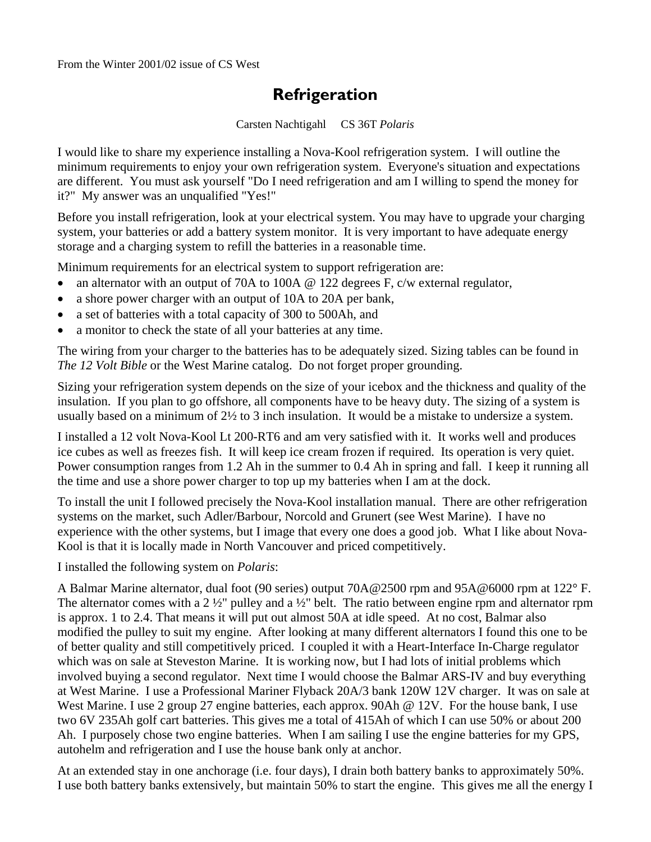## **Refrigeration**

Carsten Nachtigahl CS 36T *Polaris* 

I would like to share my experience installing a Nova-Kool refrigeration system. I will outline the minimum requirements to enjoy your own refrigeration system. Everyone's situation and expectations are different. You must ask yourself "Do I need refrigeration and am I willing to spend the money for it?" My answer was an unqualified "Yes!"

Before you install refrigeration, look at your electrical system. You may have to upgrade your charging system, your batteries or add a battery system monitor. It is very important to have adequate energy storage and a charging system to refill the batteries in a reasonable time.

Minimum requirements for an electrical system to support refrigeration are:

- an alternator with an output of 70A to 100A  $\omega$  122 degrees F, c/w external regulator,
- a shore power charger with an output of 10A to 20A per bank,
- a set of batteries with a total capacity of 300 to 500Ah, and
- a monitor to check the state of all your batteries at any time.

The wiring from your charger to the batteries has to be adequately sized. Sizing tables can be found in *The 12 Volt Bible* or the West Marine catalog. Do not forget proper grounding.

Sizing your refrigeration system depends on the size of your icebox and the thickness and quality of the insulation. If you plan to go offshore, all components have to be heavy duty. The sizing of a system is usually based on a minimum of 2½ to 3 inch insulation. It would be a mistake to undersize a system.

I installed a 12 volt Nova-Kool Lt 200-RT6 and am very satisfied with it. It works well and produces ice cubes as well as freezes fish. It will keep ice cream frozen if required. Its operation is very quiet. Power consumption ranges from 1.2 Ah in the summer to 0.4 Ah in spring and fall. I keep it running all the time and use a shore power charger to top up my batteries when I am at the dock.

To install the unit I followed precisely the Nova-Kool installation manual. There are other refrigeration systems on the market, such Adler/Barbour, Norcold and Grunert (see West Marine). I have no experience with the other systems, but I image that every one does a good job. What I like about Nova-Kool is that it is locally made in North Vancouver and priced competitively.

I installed the following system on *Polaris*:

A Balmar Marine alternator, dual foot (90 series) output 70A@2500 rpm and 95A@6000 rpm at 122° F. The alternator comes with a 2  $\frac{1}{2}$ " pulley and a  $\frac{1}{2}$ " belt. The ratio between engine rpm and alternator rpm is approx. 1 to 2.4. That means it will put out almost 50A at idle speed. At no cost, Balmar also modified the pulley to suit my engine. After looking at many different alternators I found this one to be of better quality and still competitively priced. I coupled it with a Heart-Interface In-Charge regulator which was on sale at Steveston Marine. It is working now, but I had lots of initial problems which involved buying a second regulator. Next time I would choose the Balmar ARS-IV and buy everything at West Marine. I use a Professional Mariner Flyback 20A/3 bank 120W 12V charger. It was on sale at West Marine. I use 2 group 27 engine batteries, each approx. 90Ah @ 12V. For the house bank, I use two 6V 235Ah golf cart batteries. This gives me a total of 415Ah of which I can use 50% or about 200 Ah. I purposely chose two engine batteries. When I am sailing I use the engine batteries for my GPS, autohelm and refrigeration and I use the house bank only at anchor.

At an extended stay in one anchorage (i.e. four days), I drain both battery banks to approximately 50%. I use both battery banks extensively, but maintain 50% to start the engine. This gives me all the energy I